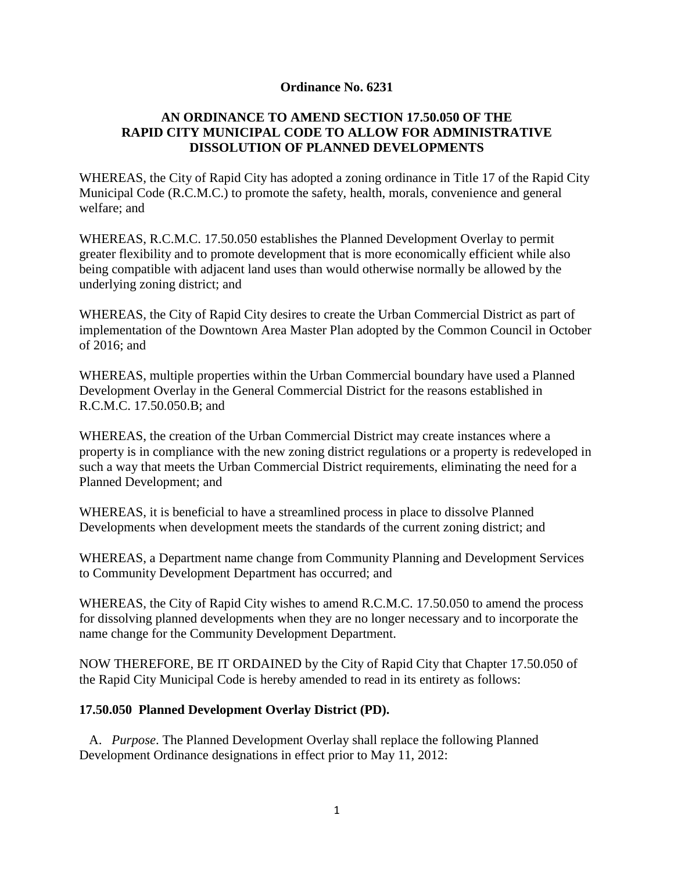### **Ordinance No. 6231**

## **AN ORDINANCE TO AMEND SECTION 17.50.050 OF THE RAPID CITY MUNICIPAL CODE TO ALLOW FOR ADMINISTRATIVE DISSOLUTION OF PLANNED DEVELOPMENTS**

WHEREAS, the City of Rapid City has adopted a zoning ordinance in Title 17 of the Rapid City Municipal Code (R.C.M.C.) to promote the safety, health, morals, convenience and general welfare; and

WHEREAS, R.C.M.C. 17.50.050 establishes the Planned Development Overlay to permit greater flexibility and to promote development that is more economically efficient while also being compatible with adjacent land uses than would otherwise normally be allowed by the underlying zoning district; and

WHEREAS, the City of Rapid City desires to create the Urban Commercial District as part of implementation of the Downtown Area Master Plan adopted by the Common Council in October of 2016; and

WHEREAS, multiple properties within the Urban Commercial boundary have used a Planned Development Overlay in the General Commercial District for the reasons established in R.C.M.C. 17.50.050.B; and

WHEREAS, the creation of the Urban Commercial District may create instances where a property is in compliance with the new zoning district regulations or a property is redeveloped in such a way that meets the Urban Commercial District requirements, eliminating the need for a Planned Development; and

WHEREAS, it is beneficial to have a streamlined process in place to dissolve Planned Developments when development meets the standards of the current zoning district; and

WHEREAS, a Department name change from Community Planning and Development Services to Community Development Department has occurred; and

WHEREAS, the City of Rapid City wishes to amend R.C.M.C. 17.50.050 to amend the process for dissolving planned developments when they are no longer necessary and to incorporate the name change for the Community Development Department.

NOW THEREFORE, BE IT ORDAINED by the City of Rapid City that Chapter 17.50.050 of the Rapid City Municipal Code is hereby amended to read in its entirety as follows:

### **17.50.050 Planned Development Overlay District (PD).**

 A. *Purpose*. The Planned Development Overlay shall replace the following Planned Development Ordinance designations in effect prior to May 11, 2012: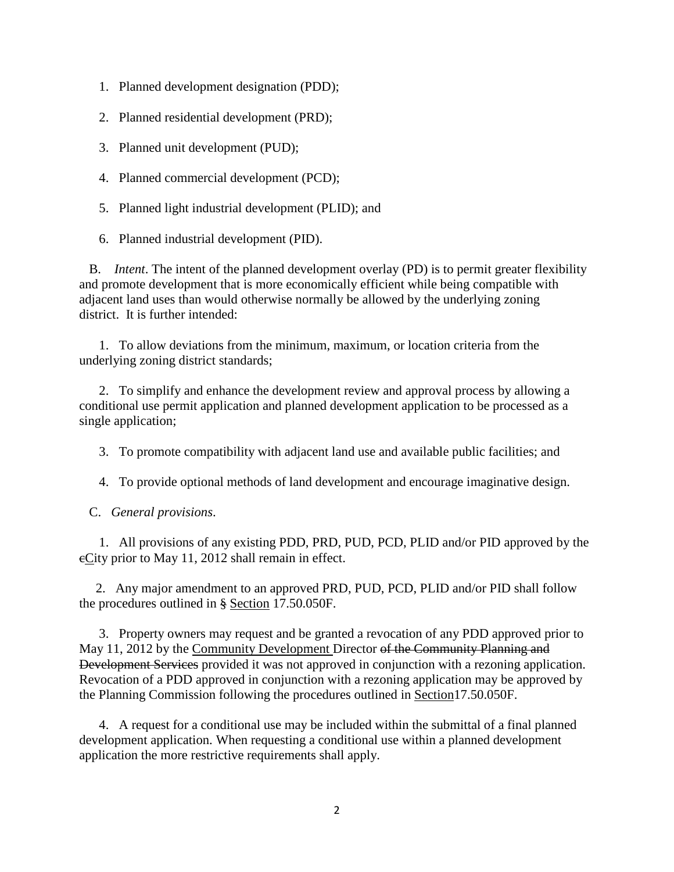- 1. Planned development designation (PDD);
- 2. Planned residential development (PRD);
- 3. Planned unit development (PUD);
- 4. Planned commercial development (PCD);
- 5. Planned light industrial development (PLID); and
- 6. Planned industrial development (PID).

 B. *Intent*. The intent of the planned development overlay (PD) is to permit greater flexibility and promote development that is more economically efficient while being compatible with adjacent land uses than would otherwise normally be allowed by the underlying zoning district. It is further intended:

 1. To allow deviations from the minimum, maximum, or location criteria from the underlying zoning district standards;

 2. To simplify and enhance the development review and approval process by allowing a conditional use permit application and planned development application to be processed as a single application;

3. To promote compatibility with adjacent land use and available public facilities; and

4. To provide optional methods of land development and encourage imaginative design.

C. *General provisions*.

 1. All provisions of any existing PDD, PRD, PUD, PCD, PLID and/or PID approved by the eCity prior to May 11, 2012 shall remain in effect.

 2. Any major amendment to an approved PRD, PUD, PCD, PLID and/or PID shall follow the procedures outlined in § Section 17.50.050F.

 3. Property owners may request and be granted a revocation of any PDD approved prior to May 11, 2012 by the Community Development Director of the Community Planning and Development Services provided it was not approved in conjunction with a rezoning application. Revocation of a PDD approved in conjunction with a rezoning application may be approved by the Planning Commission following the procedures outlined in Section17.50.050F.

 4. A request for a conditional use may be included within the submittal of a final planned development application. When requesting a conditional use within a planned development application the more restrictive requirements shall apply.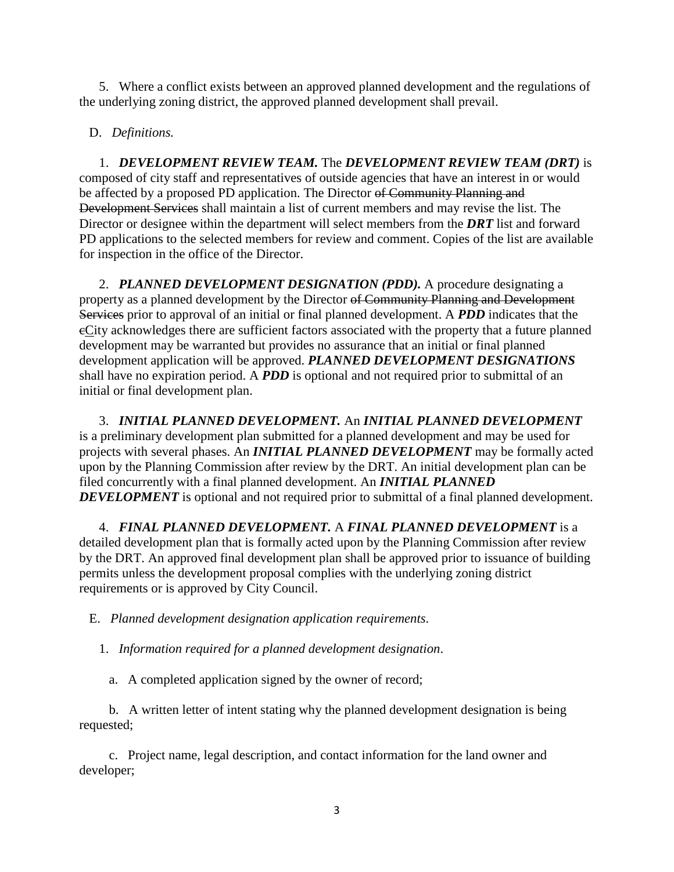5. Where a conflict exists between an approved planned development and the regulations of the underlying zoning district, the approved planned development shall prevail.

D. *Definitions.*

 1. *DEVELOPMENT REVIEW TEAM.* The *DEVELOPMENT REVIEW TEAM (DRT)* is composed of city staff and representatives of outside agencies that have an interest in or would be affected by a proposed PD application. The Director of Community Planning and Development Services shall maintain a list of current members and may revise the list. The Director or designee within the department will select members from the *DRT* list and forward PD applications to the selected members for review and comment. Copies of the list are available for inspection in the office of the Director.

 2. *PLANNED DEVELOPMENT DESIGNATION (PDD).* A procedure designating a property as a planned development by the Director of Community Planning and Development Services prior to approval of an initial or final planned development. A *PDD* indicates that the cCity acknowledges there are sufficient factors associated with the property that a future planned development may be warranted but provides no assurance that an initial or final planned development application will be approved. *PLANNED DEVELOPMENT DESIGNATIONS* shall have no expiration period. A *PDD* is optional and not required prior to submittal of an initial or final development plan.

 3. *INITIAL PLANNED DEVELOPMENT.* An *INITIAL PLANNED DEVELOPMENT* is a preliminary development plan submitted for a planned development and may be used for projects with several phases. An *INITIAL PLANNED DEVELOPMENT* may be formally acted upon by the Planning Commission after review by the DRT. An initial development plan can be filed concurrently with a final planned development. An *INITIAL PLANNED DEVELOPMENT* is optional and not required prior to submittal of a final planned development.

 4. *FINAL PLANNED DEVELOPMENT.* A *FINAL PLANNED DEVELOPMENT* is a detailed development plan that is formally acted upon by the Planning Commission after review by the DRT. An approved final development plan shall be approved prior to issuance of building permits unless the development proposal complies with the underlying zoning district requirements or is approved by City Council.

E. *Planned development designation application requirements*.

1. *Information required for a planned development designation*.

a. A completed application signed by the owner of record;

 b. A written letter of intent stating why the planned development designation is being requested;

 c. Project name, legal description, and contact information for the land owner and developer;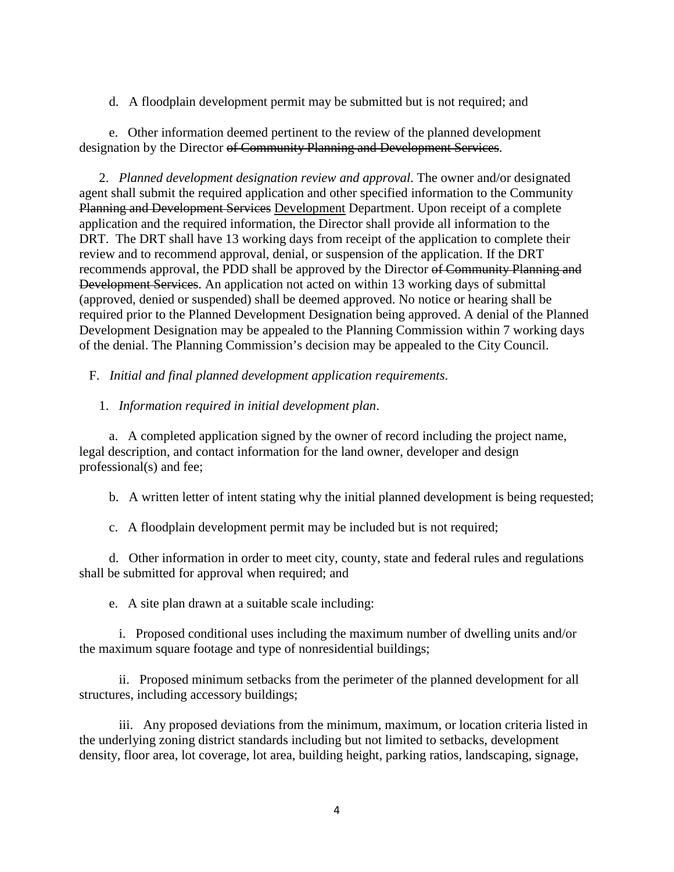### d. A floodplain development permit may be submitted but is not required; and

 e. Other information deemed pertinent to the review of the planned development designation by the Director of Community Planning and Development Services.

 2. *Planned development designation review and approval*. The owner and/or designated agent shall submit the required application and other specified information to the Community Planning and Development Services Development Department. Upon receipt of a complete application and the required information, the Director shall provide all information to the DRT. The DRT shall have 13 working days from receipt of the application to complete their review and to recommend approval, denial, or suspension of the application. If the DRT recommends approval, the PDD shall be approved by the Director of Community Planning and Development Services. An application not acted on within 13 working days of submittal (approved, denied or suspended) shall be deemed approved. No notice or hearing shall be required prior to the Planned Development Designation being approved. A denial of the Planned Development Designation may be appealed to the Planning Commission within 7 working days of the denial. The Planning Commission's decision may be appealed to the City Council.

F. *Initial and final planned development application requirements*.

## 1. *Information required in initial development plan*.

 a. A completed application signed by the owner of record including the project name, legal description, and contact information for the land owner, developer and design professional(s) and fee;

b. A written letter of intent stating why the initial planned development is being requested;

c. A floodplain development permit may be included but is not required;

 d. Other information in order to meet city, county, state and federal rules and regulations shall be submitted for approval when required; and

e. A site plan drawn at a suitable scale including:

 i. Proposed conditional uses including the maximum number of dwelling units and/or the maximum square footage and type of nonresidential buildings;

 ii. Proposed minimum setbacks from the perimeter of the planned development for all structures, including accessory buildings;

 iii. Any proposed deviations from the minimum, maximum, or location criteria listed in the underlying zoning district standards including but not limited to setbacks, development density, floor area, lot coverage, lot area, building height, parking ratios, landscaping, signage,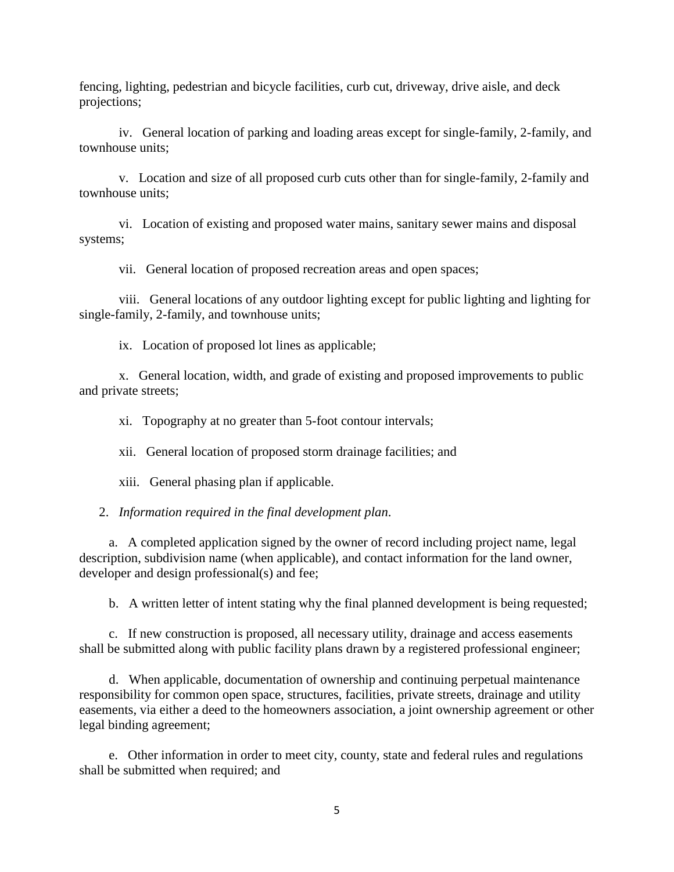fencing, lighting, pedestrian and bicycle facilities, curb cut, driveway, drive aisle, and deck projections;

 iv. General location of parking and loading areas except for single-family, 2-family, and townhouse units;

 v. Location and size of all proposed curb cuts other than for single-family, 2-family and townhouse units;

 vi. Location of existing and proposed water mains, sanitary sewer mains and disposal systems;

vii. General location of proposed recreation areas and open spaces;

 viii. General locations of any outdoor lighting except for public lighting and lighting for single-family, 2-family, and townhouse units;

ix. Location of proposed lot lines as applicable;

 x. General location, width, and grade of existing and proposed improvements to public and private streets;

xi. Topography at no greater than 5-foot contour intervals;

xii. General location of proposed storm drainage facilities; and

xiii. General phasing plan if applicable.

2. *Information required in the final development plan*.

 a. A completed application signed by the owner of record including project name, legal description, subdivision name (when applicable), and contact information for the land owner, developer and design professional(s) and fee;

b. A written letter of intent stating why the final planned development is being requested;

 c. If new construction is proposed, all necessary utility, drainage and access easements shall be submitted along with public facility plans drawn by a registered professional engineer;

 d. When applicable, documentation of ownership and continuing perpetual maintenance responsibility for common open space, structures, facilities, private streets, drainage and utility easements, via either a deed to the homeowners association, a joint ownership agreement or other legal binding agreement;

 e. Other information in order to meet city, county, state and federal rules and regulations shall be submitted when required; and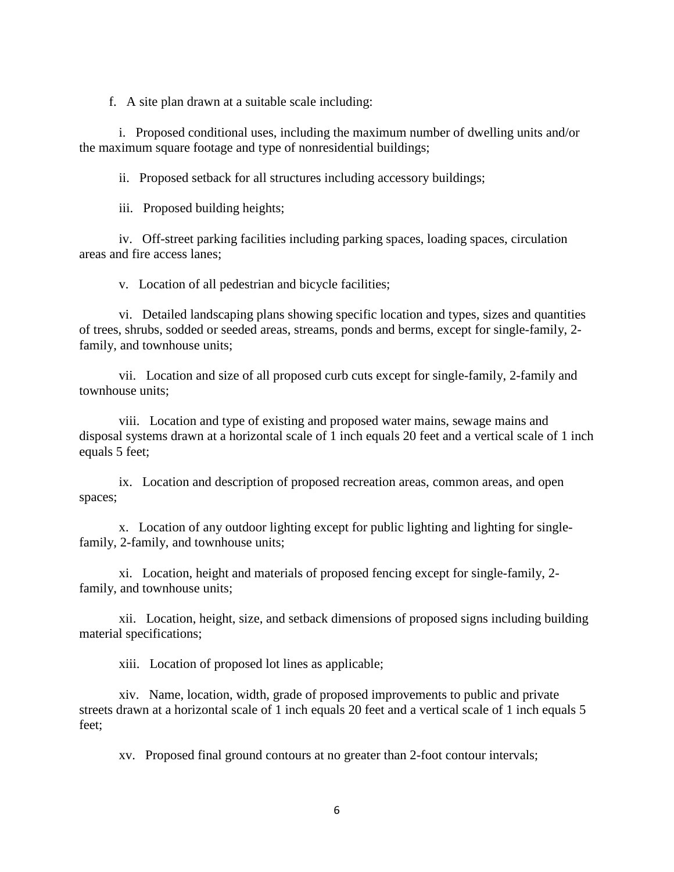f. A site plan drawn at a suitable scale including:

 i. Proposed conditional uses, including the maximum number of dwelling units and/or the maximum square footage and type of nonresidential buildings;

ii. Proposed setback for all structures including accessory buildings;

iii. Proposed building heights;

 iv. Off-street parking facilities including parking spaces, loading spaces, circulation areas and fire access lanes;

v. Location of all pedestrian and bicycle facilities;

 vi. Detailed landscaping plans showing specific location and types, sizes and quantities of trees, shrubs, sodded or seeded areas, streams, ponds and berms, except for single-family, 2 family, and townhouse units;

 vii. Location and size of all proposed curb cuts except for single-family, 2-family and townhouse units;

 viii. Location and type of existing and proposed water mains, sewage mains and disposal systems drawn at a horizontal scale of 1 inch equals 20 feet and a vertical scale of 1 inch equals 5 feet;

 ix. Location and description of proposed recreation areas, common areas, and open spaces;

 x. Location of any outdoor lighting except for public lighting and lighting for singlefamily, 2-family, and townhouse units;

 xi. Location, height and materials of proposed fencing except for single-family, 2 family, and townhouse units;

 xii. Location, height, size, and setback dimensions of proposed signs including building material specifications;

xiii. Location of proposed lot lines as applicable;

 xiv. Name, location, width, grade of proposed improvements to public and private streets drawn at a horizontal scale of 1 inch equals 20 feet and a vertical scale of 1 inch equals 5 feet;

xv. Proposed final ground contours at no greater than 2-foot contour intervals;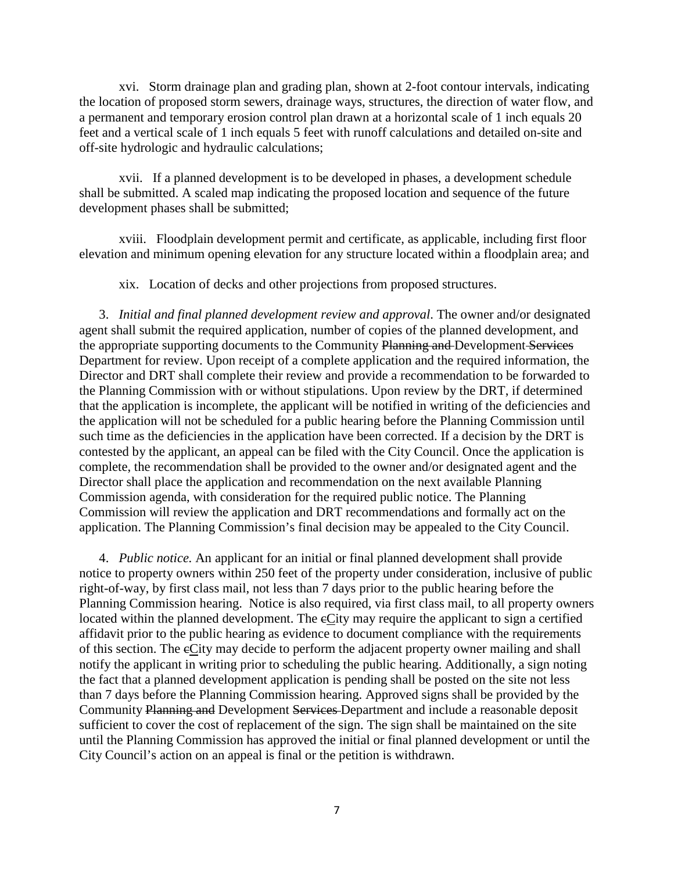xvi. Storm drainage plan and grading plan, shown at 2-foot contour intervals, indicating the location of proposed storm sewers, drainage ways, structures, the direction of water flow, and a permanent and temporary erosion control plan drawn at a horizontal scale of 1 inch equals 20 feet and a vertical scale of 1 inch equals 5 feet with runoff calculations and detailed on-site and off-site hydrologic and hydraulic calculations;

 xvii. If a planned development is to be developed in phases, a development schedule shall be submitted. A scaled map indicating the proposed location and sequence of the future development phases shall be submitted;

 xviii. Floodplain development permit and certificate, as applicable, including first floor elevation and minimum opening elevation for any structure located within a floodplain area; and

xix. Location of decks and other projections from proposed structures.

 3. *Initial and final planned development review and approval*. The owner and/or designated agent shall submit the required application, number of copies of the planned development, and the appropriate supporting documents to the Community Planning and Development Services Department for review. Upon receipt of a complete application and the required information, the Director and DRT shall complete their review and provide a recommendation to be forwarded to the Planning Commission with or without stipulations. Upon review by the DRT, if determined that the application is incomplete, the applicant will be notified in writing of the deficiencies and the application will not be scheduled for a public hearing before the Planning Commission until such time as the deficiencies in the application have been corrected. If a decision by the DRT is contested by the applicant, an appeal can be filed with the City Council. Once the application is complete, the recommendation shall be provided to the owner and/or designated agent and the Director shall place the application and recommendation on the next available Planning Commission agenda, with consideration for the required public notice. The Planning Commission will review the application and DRT recommendations and formally act on the application. The Planning Commission's final decision may be appealed to the City Council.

 4. *Public notice.* An applicant for an initial or final planned development shall provide notice to property owners within 250 feet of the property under consideration, inclusive of public right-of-way, by first class mail, not less than 7 days prior to the public hearing before the Planning Commission hearing. Notice is also required, via first class mail, to all property owners located within the planned development. The eCity may require the applicant to sign a certified affidavit prior to the public hearing as evidence to document compliance with the requirements of this section. The cCity may decide to perform the adjacent property owner mailing and shall notify the applicant in writing prior to scheduling the public hearing. Additionally, a sign noting the fact that a planned development application is pending shall be posted on the site not less than 7 days before the Planning Commission hearing. Approved signs shall be provided by the Community Planning and Development Services Department and include a reasonable deposit sufficient to cover the cost of replacement of the sign. The sign shall be maintained on the site until the Planning Commission has approved the initial or final planned development or until the City Council's action on an appeal is final or the petition is withdrawn.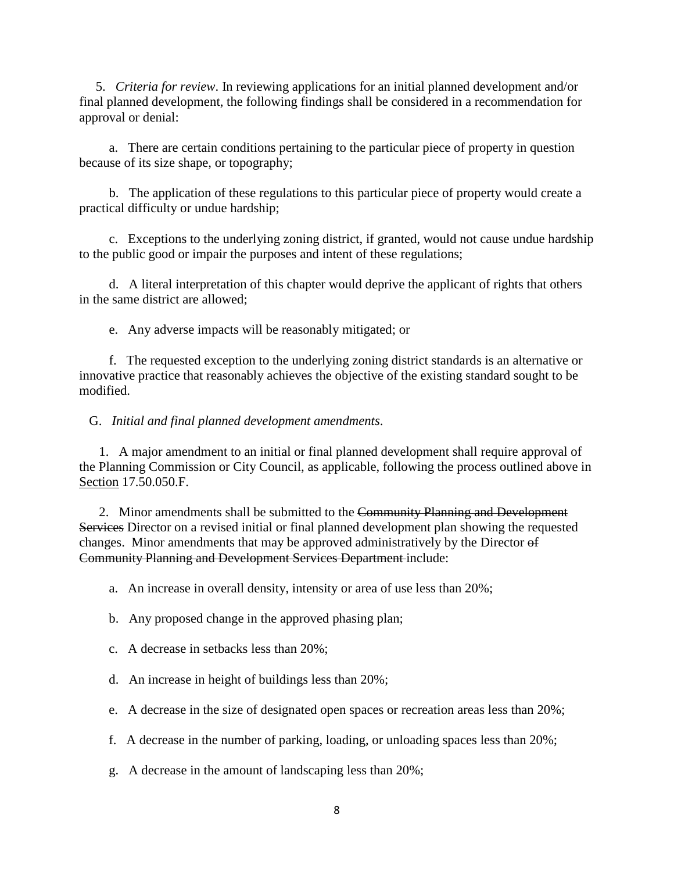5. *Criteria for review*. In reviewing applications for an initial planned development and/or final planned development, the following findings shall be considered in a recommendation for approval or denial:

 a. There are certain conditions pertaining to the particular piece of property in question because of its size shape, or topography;

 b. The application of these regulations to this particular piece of property would create a practical difficulty or undue hardship;

 c. Exceptions to the underlying zoning district, if granted, would not cause undue hardship to the public good or impair the purposes and intent of these regulations;

 d. A literal interpretation of this chapter would deprive the applicant of rights that others in the same district are allowed;

e. Any adverse impacts will be reasonably mitigated; or

 f. The requested exception to the underlying zoning district standards is an alternative or innovative practice that reasonably achieves the objective of the existing standard sought to be modified.

G. *Initial and final planned development amendments*.

 1. A major amendment to an initial or final planned development shall require approval of the Planning Commission or City Council, as applicable, following the process outlined above in Section 17.50.050.F.

2. Minor amendments shall be submitted to the Community Planning and Development Services Director on a revised initial or final planned development plan showing the requested changes. Minor amendments that may be approved administratively by the Director of Community Planning and Development Services Department include:

a. An increase in overall density, intensity or area of use less than 20%;

b. Any proposed change in the approved phasing plan;

c. A decrease in setbacks less than 20%;

d. An increase in height of buildings less than 20%;

e. A decrease in the size of designated open spaces or recreation areas less than 20%;

f. A decrease in the number of parking, loading, or unloading spaces less than 20%;

g. A decrease in the amount of landscaping less than 20%;